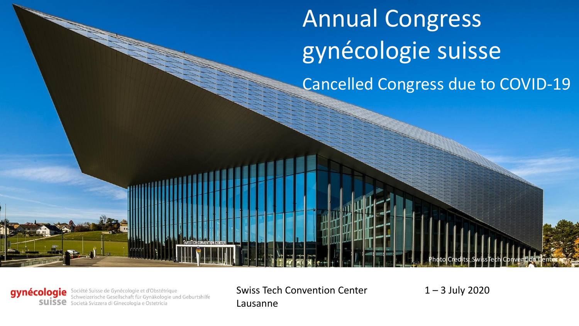Cancelled Congress due to COVID-19 Annual Congress gynécologie suisse

gynécologie Société Suisse de Gynécologie et d'Obstétrique<br>Schweizerische Gesellschaft für Gynäkologie und Geburtshilfe **SUISSE** Società Svizzera di Ginecologia e Ostetricia

Swiss Tech Convention Center

1 – 3 July 2020

Photo Credits: SwissTech Convention Center

Lausanne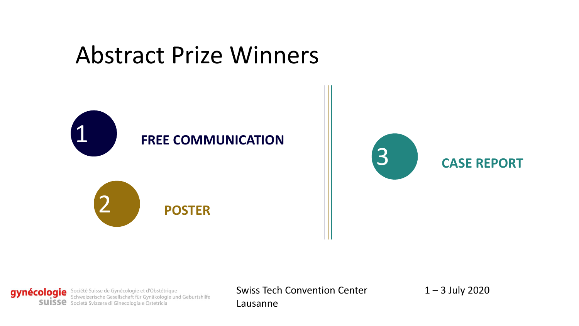# Abstract Prize Winners



gynécologie Société Suisse de Gynécologie et d'Obstétrique<br>Schweizerische Gesellschaft für Gynäkologie und Geburtshilfe SUISSE Società Svizzera di Ginecologia e Ostetricia

Swiss Tech Convention Center

 $1 - 3$  July 2020

Lausanne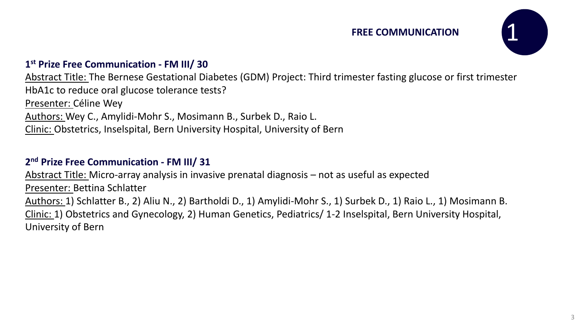#### **FREE COMMUNICATION**



#### **1 st Prize Free Communication - FM III/ 30**

Abstract Title: The Bernese Gestational Diabetes (GDM) Project: Third trimester fasting glucose or first trimester HbA1c to reduce oral glucose tolerance tests? Presenter: Céline Wey Authors: Wey C., Amylidi-Mohr S., Mosimann B., Surbek D., Raio L. Clinic: Obstetrics, Inselspital, Bern University Hospital, University of Bern

#### **2 nd Prize Free Communication - FM III/ 31**

Abstract Title: Micro-array analysis in invasive prenatal diagnosis – not as useful as expected Presenter: Bettina Schlatter Authors: 1) Schlatter B., 2) Aliu N., 2) Bartholdi D., 1) Amylidi-Mohr S., 1) Surbek D., 1) Raio L., 1) Mosimann B. Clinic: 1) Obstetrics and Gynecology, 2) Human Genetics, Pediatrics/ 1-2 Inselspital, Bern University Hospital, University of Bern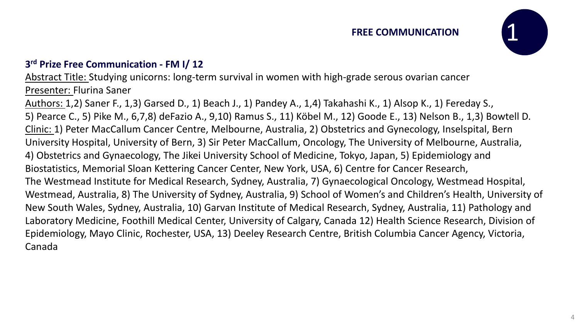#### **FREE COMMUNICATION**



#### **3 rd Prize Free Communication - FM I/ 12**

Abstract Title: Studying unicorns: long-term survival in women with high-grade serous ovarian cancer Presenter: Flurina Saner

Authors: 1,2) Saner F., 1,3) Garsed D., 1) Beach J., 1) Pandey A., 1,4) Takahashi K., 1) Alsop K., 1) Fereday S., 5) Pearce C., 5) Pike M., 6,7,8) deFazio A., 9,10) Ramus S., 11) Köbel M., 12) Goode E., 13) Nelson B., 1,3) Bowtell D. Clinic: 1) Peter MacCallum Cancer Centre, Melbourne, Australia, 2) Obstetrics and Gynecology, Inselspital, Bern University Hospital, University of Bern, 3) Sir Peter MacCallum, Oncology, The University of Melbourne, Australia, 4) Obstetrics and Gynaecology, The Jikei University School of Medicine, Tokyo, Japan, 5) Epidemiology and Biostatistics, Memorial Sloan Kettering Cancer Center, New York, USA, 6) Centre for Cancer Research, The Westmead Institute for Medical Research, Sydney, Australia, 7) Gynaecological Oncology, Westmead Hospital, Westmead, Australia, 8) The University of Sydney, Australia, 9) School of Women's and Children's Health, University of New South Wales, Sydney, Australia, 10) Garvan Institute of Medical Research, Sydney, Australia, 11) Pathology and Laboratory Medicine, Foothill Medical Center, University of Calgary, Canada 12) Health Science Research, Division of Epidemiology, Mayo Clinic, Rochester, USA, 13) Deeley Research Centre, British Columbia Cancer Agency, Victoria, Canada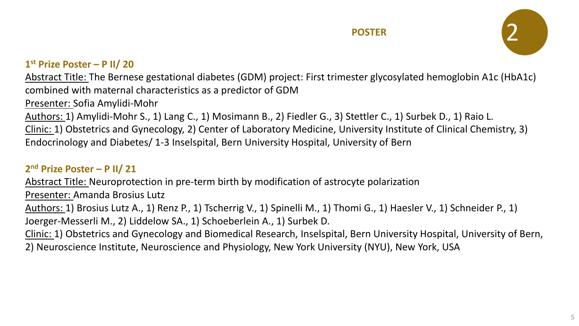

#### **1 st Prize Poster – P II/ 20**

Abstract Title: The Bernese gestational diabetes (GDM) project: First trimester glycosylated hemoglobin A1c (HbA1c) combined with maternal characteristics as a predictor of GDM

Presenter: Sofia Amylidi-Mohr

Authors: 1) Amylidi-Mohr S., 1) Lang C., 1) Mosimann B., 2) Fiedler G., 3) Stettler C., 1) Surbek D., 1) Raio L.

Clinic: 1) Obstetrics and Gynecology, 2) Center of Laboratory Medicine, University Institute of Clinical Chemistry, 3)

Endocrinology and Diabetes/ 1-3 Inselspital, Bern University Hospital, University of Bern

### **2 nd Prize Poster – P II/ 21**

Abstract Title: Neuroprotection in pre-term birth by modification of astrocyte polarization

Presenter: Amanda Brosius Lutz

Authors: 1) Brosius Lutz A., 1) Renz P., 1) Tscherrig V., 1) Spinelli M., 1) Thomi G., 1) Haesler V., 1) Schneider P., 1)

Joerger-Messerli M., 2) Liddelow SA., 1) Schoeberlein A., 1) Surbek D.

Clinic: 1) Obstetrics and Gynecology and Biomedical Research, Inselspital, Bern University Hospital, University of Bern, 2) Neuroscience Institute, Neuroscience and Physiology, New York University (NYU), New York, USA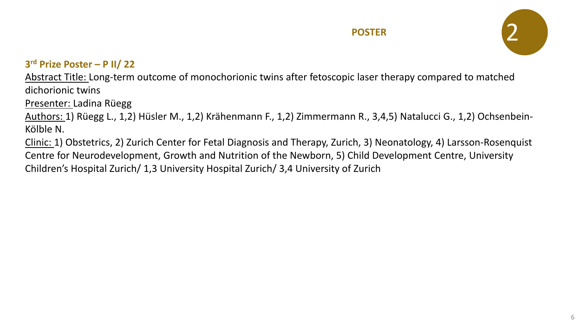

#### **3 rd Prize Poster – P II/ 22**

Abstract Title: Long-term outcome of monochorionic twins after fetoscopic laser therapy compared to matched dichorionic twins

Presenter: Ladina Rüegg

Authors: 1) Rüegg L., 1,2) Hüsler M., 1,2) Krähenmann F., 1,2) Zimmermann R., 3,4,5) Natalucci G., 1,2) Ochsenbein-Kölble N.

Clinic: 1) Obstetrics, 2) Zurich Center for Fetal Diagnosis and Therapy, Zurich, 3) Neonatology, 4) Larsson-Rosenquist Centre for Neurodevelopment, Growth and Nutrition of the Newborn, 5) Child Development Centre, University Children's Hospital Zurich/ 1,3 University Hospital Zurich/ 3,4 University of Zurich